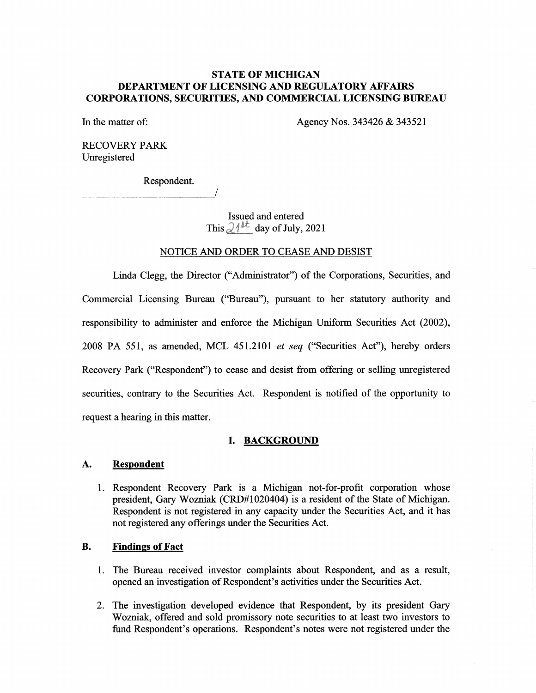# STATE OF MICHIGAN DEPARTMENT OF LICENSING AND REGULATORY AFFAIRS CORPORATIONS, SECURITIES, AND COMMERCIAL LICENSING BUREAU

In the matter of: Agency Nos. 343426 & 343521

RECOVERY PARK Unregistered

Respondent.

Issued and entered This  $\partial_1^{4kt}$  day of July, 2021

### NOTICE AND ORDER TO CEASE AND DESIST

Linda Clegg, the Director ("Administrator") of the Corporations, Securities, and Commercial Licensing Bureau ("Bureau"), pursuant to her statutory authority and responsibility to administer and enforce the Michigan Uniform Securities Act (2002), 2008 PA 551, as amended, MCL 451.2101 et seq ("Securities Act"), hereby orders Recovery Park ("Respondent") to cease and desist from offering or selling unregistered securities, contrary to the Securities Act. Respondent is notified of the opportunity to request a hearing in this matter.

# I. BACKGROUND

#### Respondent A.

Respondent Recovery Park is a Michigan not-for-profit corporation whose president, Gary Wozniak (CRD#1020404) is a resident of the State of Michigan. Respondent is not registered in any capacity under the Securities Act, and it has not registered any offerings under the Securities Act.

# B. Findings of Fact

- 1. The Bureau received investor complaints about Respondent, and as a result, opened an investigation of Respondent's activities under the Securities Act.
- 2. The investigation developed evidence that Respondent, by its president Gary Wozniak, offered and sold promissory note securities to at least two investors to fund Respondent's operations. Respondent's notes were not registered under the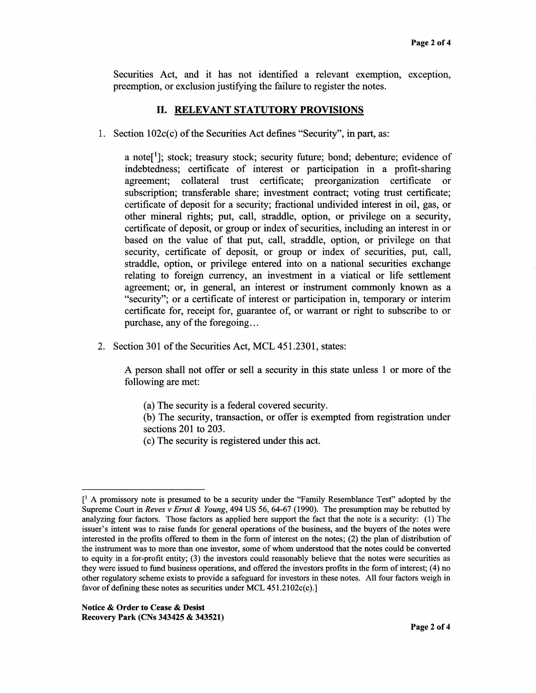Securities Act, and it has not identified a relevant exemption, exception, preemption, or exclusion justifying the failure to register the notes.

#### II. RELEVANT STATUTORY PROVISIONS

1. Section 102c(c) of the Securities Act defines "Security", in part, as:

a note<sup>[1</sup>]; stock; treasury stock; security future; bond; debenture; evidence of indebtedness; certificate of interest or participation in a profit-sharing agreement; collateral trust certificate; preorganization certificate or subscription; transferable share; investment contract; voting trust certificate; certificate of deposit for a security; fractional undivided interest in oil, gas, or other mineral rights; put, call, straddle, option, or privilege on a security, certificate of deposit, or group or index of securities, including an interest in or based on the value of that put, call, straddle, option, or privilege on that security, certificate of deposit, or group or index of securities, put, call, straddle, option, or privilege entered into on a national securities exchange relating to foreign currency, an investment in a viatical or life settlement agreement; or, in general, an interest or instrument commonly known as a "security"; or a certificate of interest or participation in, temporary or interim certificate for, receipt for, guarantee of, or warrant or right to subscribe to or purchase, any of the foregoing...

2. Section 301 of the Securities Act, MCL 451.2301, states:

A person shall not offer or sell a security in this state unless 1 or more of the following are met:

- (a) The security is a federal covered security.
- (b) The security, transaction, or offer is exempted from registration under sections 201 to 203.
- (c) The security is registered under this act.

 $\lceil$ <sup>1</sup> A promissory note is presumed to be a security under the "Family Resemblance Test" adopted by the Supreme Court in Reves v Ernst & Young, 494 US 56, 64-67 (1990). The presumption may be rebutted by analyzing four factors. Those factors as applied here support the fact that the note is a security: (1) The issuer's intent was to raise funds for general operations of the business, and the buyers of the notes were interested in the profits offered to them in the form of interest on the notes; (2) the plan of distribution of the instrument was to more than one investor, some of whom understood that the notes could be converted to equity in a for-profit entity; (3) the investors could reasonably believe that the notes were securities as they were issued to fund business operations, and offered the investors profits in the form of interest; (4) no other regulatory scheme exists to provide a safeguard for investors in these notes. All four factors weigh in favor of defining these notes as securities under MCL 451.2102c(c).]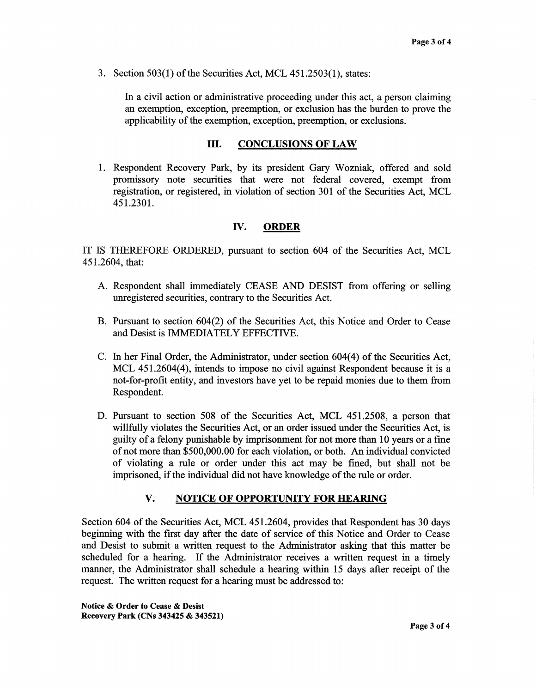3. Section 503(1) of the Securities Act, MCL 451.2503(1), states:

In a civil action or administrative proceeding under this act, a person claiming an exemption, exception, preemption, or exclusion has the burden to prove the applicability of the exemption, exception, preemption, or exclusions.

#### III. CONCLUSIONS OF LAW

1. Respondent Recovery Park, by its president Gary Wozniak, offered and sold promissory note securities that were not federal covered, exempt from registration, or registered, in violation of section 301 of the Securities Act, MCL 451.2301.

## IV. ORDER

IT IS THEREFORE ORDERED, pursuant to section 604 of the Securities Act, MCL 451.2604, that:

- A. Respondent shall immediately CEASE AND DESIST from offering or selling unregistered securities, contrary to the Securities Act.
- B. Pursuant to section 604(2) of the Securities Act, this Notice and Order to Cease and Desist is IMMEDIATELY EFFECTIVE.
- C. In her Final Order, the Administrator, under section 604(4) of the Securities Act, MCL 451.2604(4), intends to impose no civil against Respondent because it is a not-for-profit entity, and investors have yet to be repaid monies due to them from Respondent.
- D. Pursuant to section 508 of the Securities Act, MCL 451.2508, a person that willfully violates the Securities Act, or an order issued under the Securities Act, is guilty of a felony punishable by imprisonment for not more than 10 years or a fine of not more than \$500,000.00 for each violation, or both. An individual convicted of violating a rule or order under this act may be fined, but shall not be imprisoned, if the individual did not have knowledge of the rule or order.

# V. NOTICE OF OPPORTUNITY FOR HEARING

Section 604 of the Securities Act, MCL 451.2604, provides that Respondent has 30 days beginning with the first day after the date of service of this Notice and Order to Cease and Desist to submit a written request to the Administrator asking that this matter be scheduled for a hearing. If the Administrator receives a written request in a timely manner, the Administrator shall schedule a hearing within 15 days after receipt of the request. The written request for a hearing must be addressed to:

Notice & Order to Cease & Desist Recovery Park (CNs 343425 & 343521)